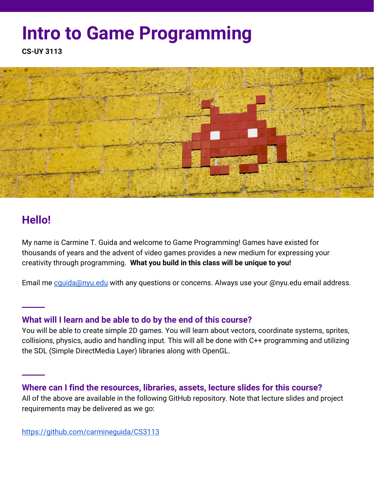# **Intro to Game Programming**

**CS-UY 3113**



# **Hello!**

**\_\_\_\_\_\_**

**\_\_\_\_\_\_**

My name is Carmine T. Guida and welcome to Game Programming! Games have existed for thousands of years and the advent of video games provides a new medium for expressing your creativity through programming. **What you build in this class will be unique to you!**

Email me cquida@nyu.edu with any questions or concerns. Always use your @nyu.edu email address.

### **What will I learn and be able to do by the end of this course?**

You will be able to create simple 2D games. You will learn about vectors, coordinate systems, sprites, collisions, physics, audio and handling input. This will all be done with C++ programming and utilizing the SDL (Simple DirectMedia Layer) libraries along with OpenGL.

#### **Where can I find the resources, libraries, assets, lecture slides for this course?**

All of the above are available in the following GitHub repository. Note that lecture slides and project requirements may be delivered as we go: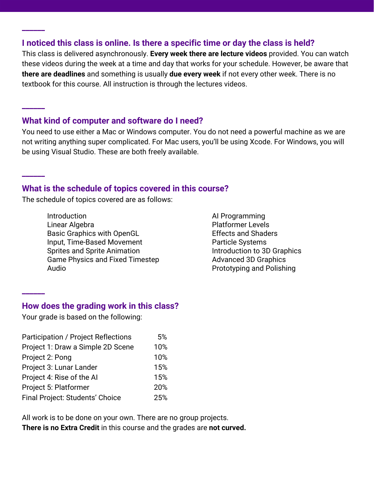#### **I noticed this class is online. Is there a specific time or day the class is held?**

This class is delivered asynchronously. **Every week there are lecture videos** provided. You can watch these videos during the week at a time and day that works for your schedule. However, be aware that **there are deadlines** and something is usually **due every week** if not every other week. There is no textbook for this course. All instruction is through the lectures videos.

#### **What kind of computer and software do I need?**

**\_\_\_\_\_\_**

**\_\_\_\_\_\_**

**\_\_\_\_\_\_**

**\_\_\_\_\_\_**

You need to use either a Mac or Windows computer. You do not need a powerful machine as we are not writing anything super complicated. For Mac users, you'll be using Xcode. For Windows, you will be using Visual Studio. These are both freely available.

#### **What is the schedule of topics covered in this course?**

The schedule of topics covered are as follows:

**Introduction** Linear Algebra Basic Graphics with OpenGL Input, Time-Based Movement Sprites and Sprite Animation Game Physics and Fixed Timestep Audio

AI Programming Platformer Levels Effects and Shaders Particle Systems Introduction to 3D Graphics Advanced 3D Graphics Prototyping and Polishing

#### **How does the grading work in this class?**

Your grade is based on the following:

| <b>Participation / Project Reflections</b> | 5%  |
|--------------------------------------------|-----|
| Project 1: Draw a Simple 2D Scene          | 10% |
| Project 2: Pong                            | 10% |
| Project 3: Lunar Lander                    | 15% |
| Project 4: Rise of the Al                  | 15% |
| Project 5: Platformer                      | 20% |
| Final Project: Students' Choice            | 25% |

All work is to be done on your own. There are no group projects. **There is no Extra Credit** in this course and the grades are **not curved.**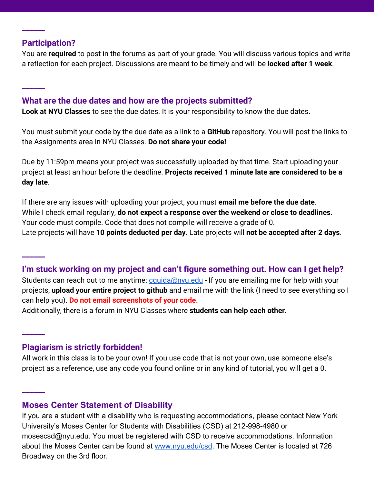#### **Participation?**

**\_\_\_\_\_\_**

**\_\_\_\_\_\_**

**\_\_\_\_\_\_**

**\_\_\_\_\_\_**

**\_\_\_\_\_\_**

You are **required** to post in the forums as part of your grade. You will discuss various topics and write a reflection for each project. Discussions are meant to be timely and will be **locked after 1 week**.

#### **What are the due dates and how are the projects submitted?**

**Look at NYU Classes** to see the due dates. It is your responsibility to know the due dates.

You must submit your code by the due date as a link to a **GitHub** repository. You will post the links to the Assignments area in NYU Classes. **Do not share your code!**

Due by 11:59pm means your project was successfully uploaded by that time. Start uploading your project at least an hour before the deadline. **Projects received 1 minute late are considered to be a day late**.

If there are any issues with uploading your project, you must **email me before the due date**. While I check email regularly, **do not expect a response over the weekend or close to deadlines**. Your code must compile. Code that does not compile will receive a grade of 0. Late projects will have **10 points deducted per day**. Late projects will **not be accepted after 2 days**.

#### **I'm stuck working on my project and can't figure something out. How can I get help?**

Students can reach out to me anytime: cquida@nyu.edu - If you are emailing me for help with your projects, **upload your entire project to github** and email me with the link (I need to see everything so I can help you). **Do not email screenshots of your code.**

Additionally, there is a forum in NYU Classes where **students can help each other**.

#### **Plagiarism is strictly forbidden!**

All work in this class is to be your own! If you use code that is not your own, use someone else's project as a reference, use any code you found online or in any kind of tutorial, you will get a 0.

#### **Moses Center Statement of Disability**

If you are a student with a disability who is requesting accommodations, please contact New York University's Moses Center for Students with Disabilities (CSD) at 212-998-4980 or mosescsd@nyu.edu. You must be registered with CSD to receive accommodations. Information about the Moses Center can be found at [www.nyu.edu/csd](http://www.nyu.edu/csd). The Moses Center is located at 726 Broadway on the 3rd floor.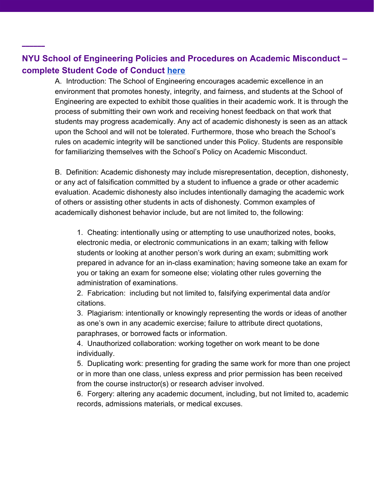## **NYU School of Engineering Policies and Procedures on Academic Misconduct – complete Student Code of Conduct [here](https://engineering.nyu.edu/campus-and-community/student-life/office-student-affairs/policies/student-code-conduct)**

**\_\_\_\_\_\_**

A. Introduction: The School of Engineering encourages academic excellence in an environment that promotes honesty, integrity, and fairness, and students at the School of Engineering are expected to exhibit those qualities in their academic work. It is through the process of submitting their own work and receiving honest feedback on that work that students may progress academically. Any act of academic dishonesty is seen as an attack upon the School and will not be tolerated. Furthermore, those who breach the School's rules on academic integrity will be sanctioned under this Policy. Students are responsible for familiarizing themselves with the School's Policy on Academic Misconduct.

B. Definition: Academic dishonesty may include misrepresentation, deception, dishonesty, or any act of falsification committed by a student to influence a grade or other academic evaluation. Academic dishonesty also includes intentionally damaging the academic work of others or assisting other students in acts of dishonesty. Common examples of academically dishonest behavior include, but are not limited to, the following:

1. Cheating: intentionally using or attempting to use unauthorized notes, books, electronic media, or electronic communications in an exam; talking with fellow students or looking at another person's work during an exam; submitting work prepared in advance for an in-class examination; having someone take an exam for you or taking an exam for someone else; violating other rules governing the administration of examinations.

2. Fabrication: including but not limited to, falsifying experimental data and/or citations.

3. Plagiarism: intentionally or knowingly representing the words or ideas of another as one's own in any academic exercise; failure to attribute direct quotations, paraphrases, or borrowed facts or information.

4. Unauthorized collaboration: working together on work meant to be done individually.

5. Duplicating work: presenting for grading the same work for more than one project or in more than one class, unless express and prior permission has been received from the course instructor(s) or research adviser involved.

6. Forgery: altering any academic document, including, but not limited to, academic records, admissions materials, or medical excuses.